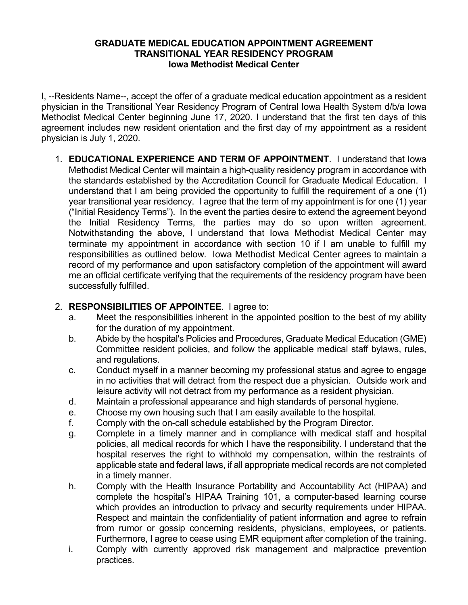# **GRADUATE MEDICAL EDUCATION APPOINTMENT AGREEMENT TRANSITIONAL YEAR RESIDENCY PROGRAM Iowa Methodist Medical Center**

I, --Residents Name--, accept the offer of a graduate medical education appointment as a resident physician in the Transitional Year Residency Program of Central Iowa Health System d/b/a Iowa Methodist Medical Center beginning June 17, 2020. I understand that the first ten days of this agreement includes new resident orientation and the first day of my appointment as a resident physician is July 1, 2020.

1. **EDUCATIONAL EXPERIENCE AND TERM OF APPOINTMENT**. I understand that Iowa Methodist Medical Center will maintain a high-quality residency program in accordance with the standards established by the Accreditation Council for Graduate Medical Education. I understand that I am being provided the opportunity to fulfill the requirement of a one (1) year transitional year residency. I agree that the term of my appointment is for one (1) year ("Initial Residency Terms"). In the event the parties desire to extend the agreement beyond the Initial Residency Terms, the parties may do so upon written agreement. Notwithstanding the above, I understand that Iowa Methodist Medical Center may terminate my appointment in accordance with section 10 if I am unable to fulfill my responsibilities as outlined below*.* Iowa Methodist Medical Center agrees to maintain a record of my performance and upon satisfactory completion of the appointment will award me an official certificate verifying that the requirements of the residency program have been successfully fulfilled.

# 2. **RESPONSIBILITIES OF APPOINTEE**. I agree to:

- a. Meet the responsibilities inherent in the appointed position to the best of my ability for the duration of my appointment.
- b. Abide by the hospital's Policies and Procedures, Graduate Medical Education (GME) Committee resident policies, and follow the applicable medical staff bylaws, rules, and regulations.
- c. Conduct myself in a manner becoming my professional status and agree to engage in no activities that will detract from the respect due a physician. Outside work and leisure activity will not detract from my performance as a resident physician.
- d. Maintain a professional appearance and high standards of personal hygiene.
- e. Choose my own housing such that I am easily available to the hospital.
- f. Comply with the on-call schedule established by the Program Director.
- g. Complete in a timely manner and in compliance with medical staff and hospital policies, all medical records for which I have the responsibility. I understand that the hospital reserves the right to withhold my compensation, within the restraints of applicable state and federal laws, if all appropriate medical records are not completed in a timely manner.
- h. Comply with the Health Insurance Portability and Accountability Act (HIPAA) and complete the hospital's HIPAA Training 101, a computer-based learning course which provides an introduction to privacy and security requirements under HIPAA. Respect and maintain the confidentiality of patient information and agree to refrain from rumor or gossip concerning residents, physicians, employees, or patients. Furthermore, I agree to cease using EMR equipment after completion of the training.
- i. Comply with currently approved risk management and malpractice prevention practices.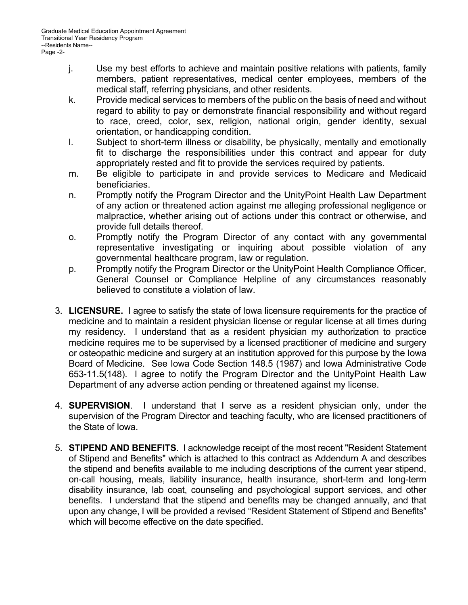- j. Use my best efforts to achieve and maintain positive relations with patients, family members, patient representatives, medical center employees, members of the medical staff, referring physicians, and other residents.
- k. Provide medical services to members of the public on the basis of need and without regard to ability to pay or demonstrate financial responsibility and without regard to race, creed, color, sex, religion, national origin, gender identity, sexual orientation, or handicapping condition.
- l. Subject to short-term illness or disability, be physically, mentally and emotionally fit to discharge the responsibilities under this contract and appear for duty appropriately rested and fit to provide the services required by patients.
- m. Be eligible to participate in and provide services to Medicare and Medicaid beneficiaries.
- n. Promptly notify the Program Director and the UnityPoint Health Law Department of any action or threatened action against me alleging professional negligence or malpractice, whether arising out of actions under this contract or otherwise, and provide full details thereof.
- o. Promptly notify the Program Director of any contact with any governmental representative investigating or inquiring about possible violation of any governmental healthcare program, law or regulation.
- p. Promptly notify the Program Director or the UnityPoint Health Compliance Officer, General Counsel or Compliance Helpline of any circumstances reasonably believed to constitute a violation of law.
- 3. **LICENSURE.** I agree to satisfy the state of Iowa licensure requirements for the practice of medicine and to maintain a resident physician license or regular license at all times during my residency. I understand that as a resident physician my authorization to practice medicine requires me to be supervised by a licensed practitioner of medicine and surgery or osteopathic medicine and surgery at an institution approved for this purpose by the Iowa Board of Medicine. See Iowa Code Section 148.5 (1987) and Iowa Administrative Code 653-11.5(148). I agree to notify the Program Director and the UnityPoint Health Law Department of any adverse action pending or threatened against my license.
- 4. **SUPERVISION**. I understand that I serve as a resident physician only, under the supervision of the Program Director and teaching faculty, who are licensed practitioners of the State of Iowa.
- 5. **STIPEND AND BENEFITS**. I acknowledge receipt of the most recent "Resident Statement of Stipend and Benefits" which is attached to this contract as Addendum A and describes the stipend and benefits available to me including descriptions of the current year stipend, on-call housing, meals, liability insurance, health insurance, short-term and long-term disability insurance, lab coat, counseling and psychological support services, and other benefits. I understand that the stipend and benefits may be changed annually, and that upon any change, I will be provided a revised "Resident Statement of Stipend and Benefits" which will become effective on the date specified.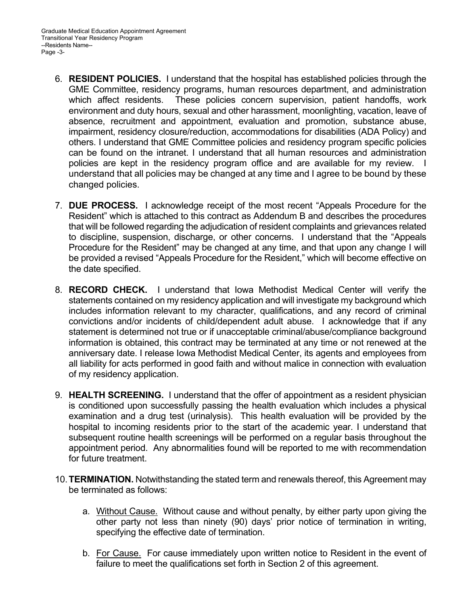- 6. **RESIDENT POLICIES.** I understand that the hospital has established policies through the GME Committee, residency programs, human resources department, and administration which affect residents. These policies concern supervision, patient handoffs, work environment and duty hours, sexual and other harassment, moonlighting, vacation, leave of absence, recruitment and appointment, evaluation and promotion, substance abuse, impairment, residency closure/reduction, accommodations for disabilities (ADA Policy) and others. I understand that GME Committee policies and residency program specific policies can be found on the intranet. I understand that all human resources and administration policies are kept in the residency program office and are available for my review. I understand that all policies may be changed at any time and I agree to be bound by these changed policies.
- 7. **DUE PROCESS.** I acknowledge receipt of the most recent "Appeals Procedure for the Resident" which is attached to this contract as Addendum B and describes the procedures that will be followed regarding the adjudication of resident complaints and grievances related to discipline, suspension, discharge, or other concerns. I understand that the "Appeals Procedure for the Resident" may be changed at any time, and that upon any change I will be provided a revised "Appeals Procedure for the Resident," which will become effective on the date specified.
- 8. **RECORD CHECK.** I understand that Iowa Methodist Medical Center will verify the statements contained on my residency application and will investigate my background which includes information relevant to my character, qualifications, and any record of criminal convictions and/or incidents of child/dependent adult abuse. I acknowledge that if any statement is determined not true or if unacceptable criminal/abuse/compliance background information is obtained, this contract may be terminated at any time or not renewed at the anniversary date. I release Iowa Methodist Medical Center, its agents and employees from all liability for acts performed in good faith and without malice in connection with evaluation of my residency application.
- 9. **HEALTH SCREENING.** I understand that the offer of appointment as a resident physician is conditioned upon successfully passing the health evaluation which includes a physical examination and a drug test (urinalysis). This health evaluation will be provided by the hospital to incoming residents prior to the start of the academic year. I understand that subsequent routine health screenings will be performed on a regular basis throughout the appointment period. Any abnormalities found will be reported to me with recommendation for future treatment.
- 10. **TERMINATION.** Notwithstanding the stated term and renewals thereof, this Agreement may be terminated as follows:
	- a. Without Cause. Without cause and without penalty, by either party upon giving the other party not less than ninety (90) days' prior notice of termination in writing, specifying the effective date of termination.
	- b. For Cause. For cause immediately upon written notice to Resident in the event of failure to meet the qualifications set forth in Section 2 of this agreement.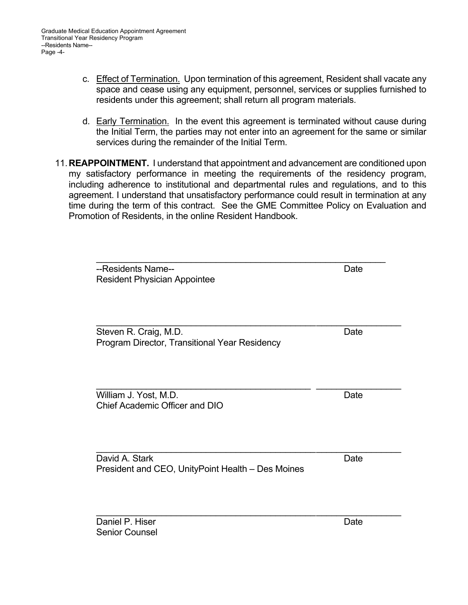- c. Effect of Termination. Upon termination of this agreement, Resident shall vacate any space and cease using any equipment, personnel, services or supplies furnished to residents under this agreement; shall return all program materials.
- d. Early Termination. In the event this agreement is terminated without cause during the Initial Term, the parties may not enter into an agreement for the same or similar services during the remainder of the Initial Term.
- 11. **REAPPOINTMENT.** I understand that appointment and advancement are conditioned upon my satisfactory performance in meeting the requirements of the residency program, including adherence to institutional and departmental rules and regulations, and to this agreement. I understand that unsatisfactory performance could result in termination at any time during the term of this contract. See the GME Committee Policy on Evaluation and Promotion of Residents, in the online Resident Handbook.

| --Residents Name--<br><b>Resident Physician Appointee</b>              | Date |
|------------------------------------------------------------------------|------|
| Steven R. Craig, M.D.<br>Program Director, Transitional Year Residency | Date |
| William J. Yost, M.D.<br>Chief Academic Officer and DIO                | Date |
| David A. Stark<br>President and CEO, UnityPoint Health - Des Moines    | Date |

Daniel P. Hiser **Date** Date Date Date Senior Counsel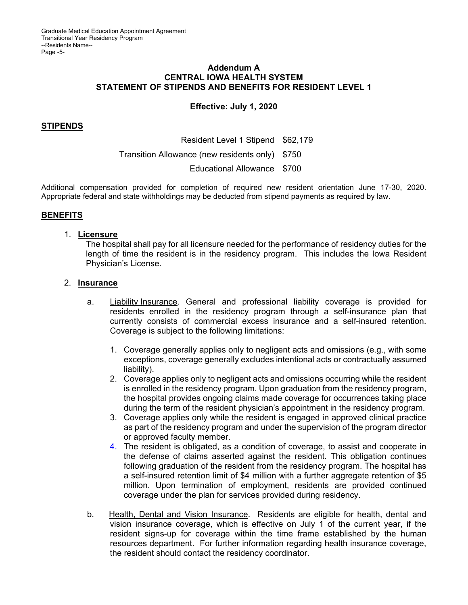### **Addendum A CENTRAL IOWA HEALTH SYSTEM STATEMENT OF STIPENDS AND BENEFITS FOR RESIDENT LEVEL 1**

# **Effective: July 1, 2020**

# **STIPENDS**

Resident Level 1 Stipend \$62,179 Transition Allowance (new residents only) \$750 Educational Allowance \$700

Additional compensation provided for completion of required new resident orientation June 17-30, 2020. Appropriate federal and state withholdings may be deducted from stipend payments as required by law.

# **BENEFITS**

### 1. **Licensure**

The hospital shall pay for all licensure needed for the performance of residency duties for the length of time the resident is in the residency program. This includes the Iowa Resident Physician's License.

### 2. **Insurance**

- a. Liability Insurance. General and professional liability coverage is provided for residents enrolled in the residency program through a self-insurance plan that currently consists of commercial excess insurance and a self-insured retention. Coverage is subject to the following limitations:
	- 1. Coverage generally applies only to negligent acts and omissions (e.g., with some exceptions, coverage generally excludes intentional acts or contractually assumed liability).
	- 2. Coverage applies only to negligent acts and omissions occurring while the resident is enrolled in the residency program. Upon graduation from the residency program, the hospital provides ongoing claims made coverage for occurrences taking place during the term of the resident physician's appointment in the residency program.
	- 3. Coverage applies only while the resident is engaged in approved clinical practice as part of the residency program and under the supervision of the program director or approved faculty member.
	- 4. The resident is obligated, as a condition of coverage, to assist and cooperate in the defense of claims asserted against the resident. This obligation continues following graduation of the resident from the residency program. The hospital has a self-insured retention limit of \$4 million with a further aggregate retention of \$5 million. Upon termination of employment, residents are provided continued coverage under the plan for services provided during residency.
	- b. Health, Dental and Vision Insurance. Residents are eligible for health, dental and vision insurance coverage, which is effective on July 1 of the current year, if the resident signs-up for coverage within the time frame established by the human resources department. For further information regarding health insurance coverage, the resident should contact the residency coordinator.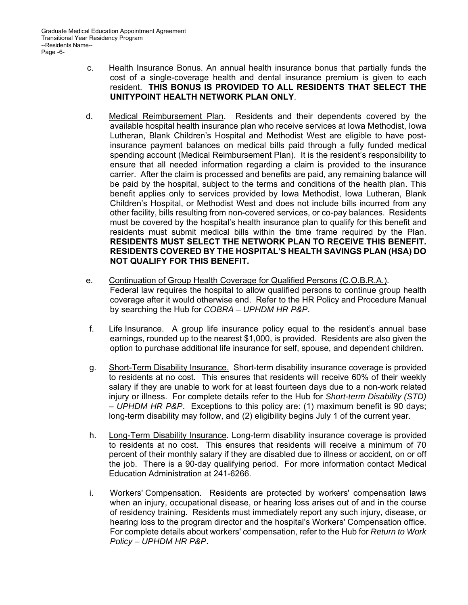- c. Health Insurance Bonus. An annual health insurance bonus that partially funds the cost of a single-coverage health and dental insurance premium is given to each resident. **THIS BONUS IS PROVIDED TO ALL RESIDENTS THAT SELECT THE UNITYPOINT HEALTH NETWORK PLAN ONLY**.
- d. Medical Reimbursement Plan. Residents and their dependents covered by the available hospital health insurance plan who receive services at Iowa Methodist, Iowa Lutheran, Blank Children's Hospital and Methodist West are eligible to have postinsurance payment balances on medical bills paid through a fully funded medical spending account (Medical Reimbursement Plan). It is the resident's responsibility to ensure that all needed information regarding a claim is provided to the insurance carrier. After the claim is processed and benefits are paid, any remaining balance will be paid by the hospital, subject to the terms and conditions of the health plan. This benefit applies only to services provided by Iowa Methodist, Iowa Lutheran, Blank Children's Hospital, or Methodist West and does not include bills incurred from any other facility, bills resulting from non-covered services, or co-pay balances. Residents must be covered by the hospital's health insurance plan to qualify for this benefit and residents must submit medical bills within the time frame required by the Plan. **RESIDENTS MUST SELECT THE NETWORK PLAN TO RECEIVE THIS BENEFIT. RESIDENTS COVERED BY THE HOSPITAL'S HEALTH SAVINGS PLAN (HSA) DO NOT QUALIFY FOR THIS BENEFIT.**
- e. Continuation of Group Health Coverage for Qualified Persons (C.O.B.R.A.). Federal law requires the hospital to allow qualified persons to continue group health coverage after it would otherwise end. Refer to the HR Policy and Procedure Manual by searching the Hub for *COBRA – UPHDM HR P&P*.
- f. Life Insurance. A group life insurance policy equal to the resident's annual base earnings, rounded up to the nearest \$1,000, is provided. Residents are also given the option to purchase additional life insurance for self, spouse, and dependent children.
- g. Short-Term Disability Insurance. Short-term disability insurance coverage is provided to residents at no cost. This ensures that residents will receive 60% of their weekly salary if they are unable to work for at least fourteen days due to a non-work related injury or illness. For complete details refer to the Hub for *Short-term Disability (STD) – UPHDM HR P&P*. Exceptions to this policy are: (1) maximum benefit is 90 days; long-term disability may follow, and (2) eligibility begins July 1 of the current year.
- h. Long-Term Disability Insurance. Long-term disability insurance coverage is provided to residents at no cost. This ensures that residents will receive a minimum of 70 percent of their monthly salary if they are disabled due to illness or accident, on or off the job. There is a 90-day qualifying period. For more information contact Medical Education Administration at 241-6266.
- i. Workers' Compensation. Residents are protected by workers' compensation laws when an injury, occupational disease, or hearing loss arises out of and in the course of residency training. Residents must immediately report any such injury, disease, or hearing loss to the program director and the hospital's Workers' Compensation office. For complete details about workers' compensation, refer to the Hub for *Return to Work Policy – UPHDM HR P&P*.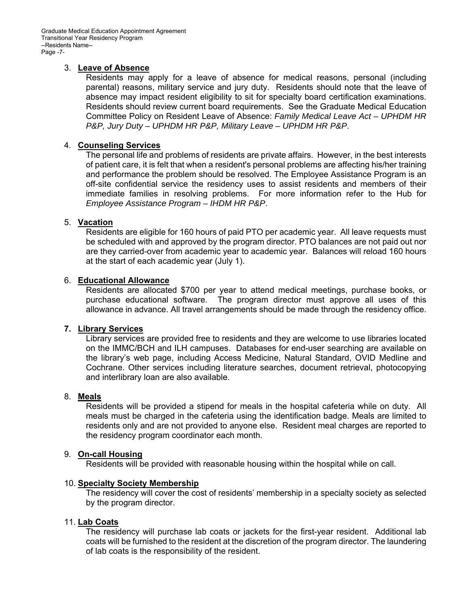### 3. **Leave of Absence**

Residents may apply for a leave of absence for medical reasons, personal (including parental) reasons, military service and jury duty. Residents should note that the leave of absence may impact resident eligibility to sit for specialty board certification examinations. Residents should review current board requirements. See the Graduate Medical Education Committee Policy on Resident Leave of Absence: *Family Medical Leave Act – UPHDM HR P&P, Jury Duty – UPHDM HR P&P, Military Leave – UPHDM HR P&P*.

### 4. **Counseling Services**

The personal life and problems of residents are private affairs. However, in the best interests of patient care, it is felt that when a resident's personal problems are affecting his/her training and performance the problem should be resolved. The Employee Assistance Program is an off-site confidential service the residency uses to assist residents and members of their immediate families in resolving problems. For more information refer to the Hub for *Employee Assistance Program – IHDM HR P&P*.

### 5. **Vacation**

Residents are eligible for 160 hours of paid PTO per academic year. All leave requests must be scheduled with and approved by the program director. PTO balances are not paid out nor are they carried-over from academic year to academic year. Balances will reload 160 hours at the start of each academic year (July 1).

### 6. **Educational Allowance**

Residents are allocated \$700 per year to attend medical meetings, purchase books, or purchase educational software. The program director must approve all uses of this allowance in advance. All travel arrangements should be made through the residency office.

#### **7. Library Services**

Library services are provided free to residents and they are welcome to use libraries located on the IMMC/BCH and ILH campuses. Databases for end-user searching are available on the library's web page, including Access Medicine, Natural Standard, OVID Medline and Cochrane. Other services including literature searches, document retrieval, photocopying and interlibrary loan are also available.

#### 8. **Meals**

Residents will be provided a stipend for meals in the hospital cafeteria while on duty. All meals must be charged in the cafeteria using the identification badge. Meals are limited to residents only and are not provided to anyone else. Resident meal charges are reported to the residency program coordinator each month.

#### 9. **On-call Housing**

Residents will be provided with reasonable housing within the hospital while on call.

#### 10. **Specialty Society Membership**

The residency will cover the cost of residents' membership in a specialty society as selected by the program director.

#### 11. **Lab Coats**

The residency will purchase lab coats or jackets for the first-year resident. Additional lab coats will be furnished to the resident at the discretion of the program director. The laundering of lab coats is the responsibility of the resident.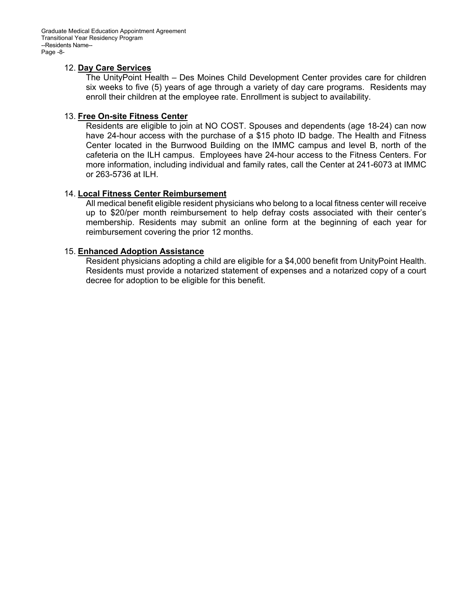Graduate Medical Education Appointment Agreement Transitional Year Residency Program --Residents Name-- Page -8-

### 12. **Day Care Services**

The UnityPoint Health – Des Moines Child Development Center provides care for children six weeks to five (5) years of age through a variety of day care programs. Residents may enroll their children at the employee rate. Enrollment is subject to availability.

### 13. **Free On-site Fitness Center**

Residents are eligible to join at NO COST. Spouses and dependents (age 18-24) can now have 24-hour access with the purchase of a \$15 photo ID badge. The Health and Fitness Center located in the Burrwood Building on the IMMC campus and level B, north of the cafeteria on the ILH campus. Employees have 24-hour access to the Fitness Centers. For more information, including individual and family rates, call the Center at 241-6073 at IMMC or 263-5736 at ILH.

# 14. **Local Fitness Center Reimbursement**

All medical benefit eligible resident physicians who belong to a local fitness center will receive up to \$20/per month reimbursement to help defray costs associated with their center's membership. Residents may submit an online form at the beginning of each year for reimbursement covering the prior 12 months.

# 15. **Enhanced Adoption Assistance**

Resident physicians adopting a child are eligible for a \$4,000 benefit from UnityPoint Health. Residents must provide a notarized statement of expenses and a notarized copy of a court decree for adoption to be eligible for this benefit.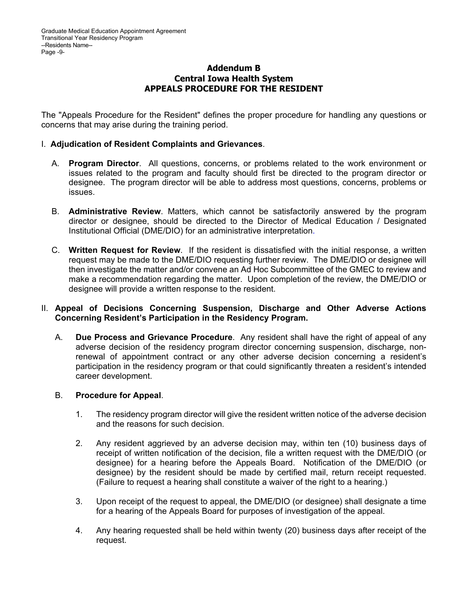# **Addendum B Central Iowa Health System APPEALS PROCEDURE FOR THE RESIDENT**

The "Appeals Procedure for the Resident" defines the proper procedure for handling any questions or concerns that may arise during the training period.

# I. **Adjudication of Resident Complaints and Grievances**.

- A. **Program Director**. All questions, concerns, or problems related to the work environment or issues related to the program and faculty should first be directed to the program director or designee. The program director will be able to address most questions, concerns, problems or issues.
- B. **Administrative Review**. Matters, which cannot be satisfactorily answered by the program director or designee, should be directed to the Director of Medical Education / Designated Institutional Official (DME/DIO) for an administrative interpretation.
- C. **Written Request for Review**. If the resident is dissatisfied with the initial response, a written request may be made to the DME/DIO requesting further review. The DME/DIO or designee will then investigate the matter and/or convene an Ad Hoc Subcommittee of the GMEC to review and make a recommendation regarding the matter. Upon completion of the review, the DME/DIO or designee will provide a written response to the resident.

# II. **Appeal of Decisions Concerning Suspension, Discharge and Other Adverse Actions Concerning Resident's Participation in the Residency Program.**

 A. **Due Process and Grievance Procedure**. Any resident shall have the right of appeal of any adverse decision of the residency program director concerning suspension, discharge, nonrenewal of appointment contract or any other adverse decision concerning a resident's participation in the residency program or that could significantly threaten a resident's intended career development.

### B. **Procedure for Appeal**.

- 1. The residency program director will give the resident written notice of the adverse decision and the reasons for such decision.
- 2. Any resident aggrieved by an adverse decision may, within ten (10) business days of receipt of written notification of the decision, file a written request with the DME/DIO (or designee) for a hearing before the Appeals Board. Notification of the DME/DIO (or designee) by the resident should be made by certified mail, return receipt requested. (Failure to request a hearing shall constitute a waiver of the right to a hearing.)
- 3. Upon receipt of the request to appeal, the DME/DIO (or designee) shall designate a time for a hearing of the Appeals Board for purposes of investigation of the appeal.
- 4. Any hearing requested shall be held within twenty (20) business days after receipt of the request.